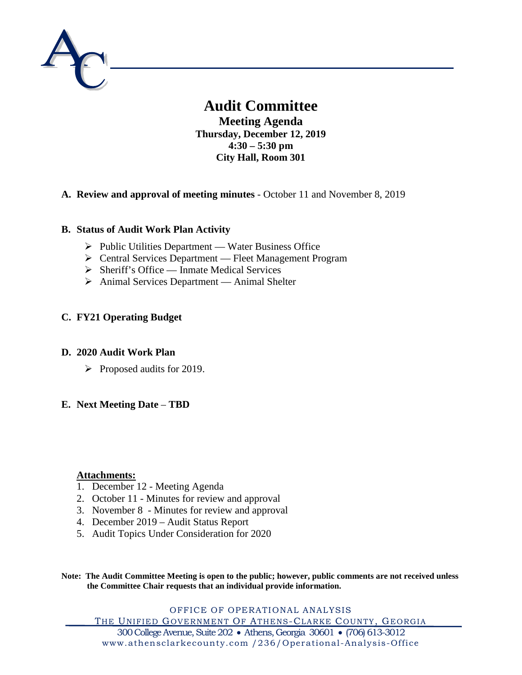

# **Audit Committee**

**Meeting Agenda Thursday, December 12, 2019 4:30 – 5:30 pm City Hall, Room 301**

# **A. Review and approval of meeting minutes** - October 11 and November 8, 2019

# **B. Status of Audit Work Plan Activity**

- $\triangleright$  Public Utilities Department Water Business Office
- Central Services Department Fleet Management Program
- $\triangleright$  Sheriff's Office Inmate Medical Services
- Animal Services Department Animal Shelter

# **C. FY21 Operating Budget**

# **D. 2020 Audit Work Plan**

 $\triangleright$  Proposed audits for 2019.

# **E. Next Meeting Date** – **TBD**

# **Attachments:**

- 1. December 12 Meeting Agenda
- 2. October 11 Minutes for review and approval
- 3. November 8 Minutes for review and approval
- 4. December 2019 Audit Status Report
- 5. Audit Topics Under Consideration for 2020

**Note: The Audit Committee Meeting is open to the public; however, public comments are not received unless the Committee Chair requests that an individual provide information.**

OFFICE OF OPERATIONAL ANALYSIS THE UNIFIED GOVERNMENT OF ATHENS-CLARKE COUNTY, GEORGIA

300 College Avenue, Suite 202 • Athens, Georgia 30601 • (706) 613-3012 www.athensclarkecounty.com /236/Operational -Analysis-Office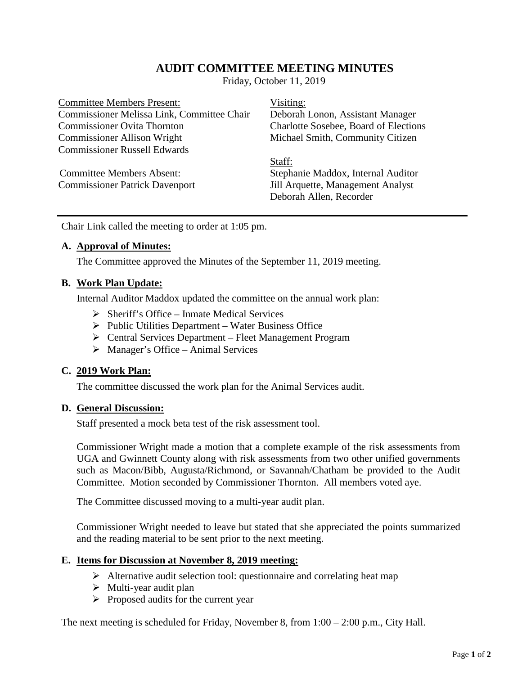# **AUDIT COMMITTEE MEETING MINUTES**

Friday, October 11, 2019

Committee Members Present: Visiting: Commissioner Melissa Link, Committee Chair Deborah Lonon, Assistant Manager Commissioner Ovita Thornton Charlotte Sosebee, Board of Elections Commissioner Allison Wright Michael Smith, Community Citizen Commissioner Russell Edwards

Staff: Committee Members Absent: Stephanie Maddox, Internal Auditor Commissioner Patrick Davenport Jill Arquette, Management Analyst Deborah Allen, Recorder

Chair Link called the meeting to order at 1:05 pm.

# **A. Approval of Minutes:**

The Committee approved the Minutes of the September 11, 2019 meeting.

# **B. Work Plan Update:**

Internal Auditor Maddox updated the committee on the annual work plan:

- $\triangleright$  Sheriff's Office Inmate Medical Services
- $\triangleright$  Public Utilities Department Water Business Office
- Central Services Department Fleet Management Program
- $\triangleright$  Manager's Office Animal Services

#### **C. 2019 Work Plan:**

The committee discussed the work plan for the Animal Services audit.

#### **D. General Discussion:**

Staff presented a mock beta test of the risk assessment tool.

Commissioner Wright made a motion that a complete example of the risk assessments from UGA and Gwinnett County along with risk assessments from two other unified governments such as Macon/Bibb, Augusta/Richmond, or Savannah/Chatham be provided to the Audit Committee. Motion seconded by Commissioner Thornton. All members voted aye.

The Committee discussed moving to a multi-year audit plan.

Commissioner Wright needed to leave but stated that she appreciated the points summarized and the reading material to be sent prior to the next meeting.

# **E. Items for Discussion at November 8, 2019 meeting:**

- $\triangleright$  Alternative audit selection tool: questionnaire and correlating heat map
- $\triangleright$  Multi-year audit plan
- $\triangleright$  Proposed audits for the current year

The next meeting is scheduled for Friday, November 8, from 1:00 – 2:00 p.m., City Hall.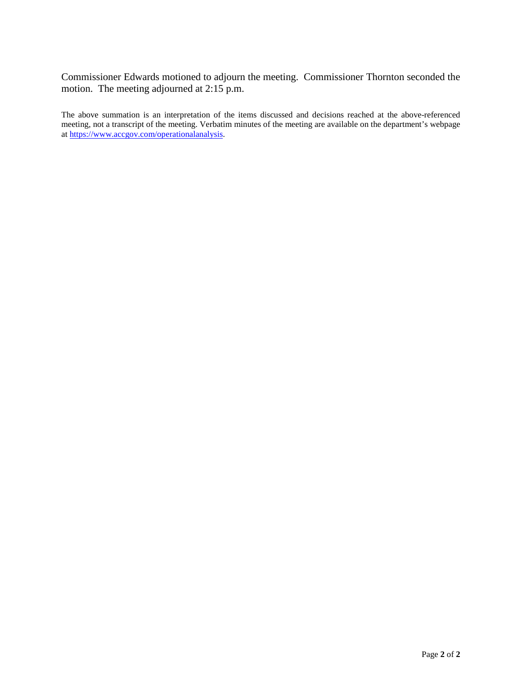Commissioner Edwards motioned to adjourn the meeting. Commissioner Thornton seconded the motion. The meeting adjourned at 2:15 p.m.

The above summation is an interpretation of the items discussed and decisions reached at the above-referenced meeting, not a transcript of the meeting. Verbatim minutes of the meeting are available on the department's webpage a[t https://www.accgov.com/operationalanalysis.](https://www.accgov.com/operationalanalysis)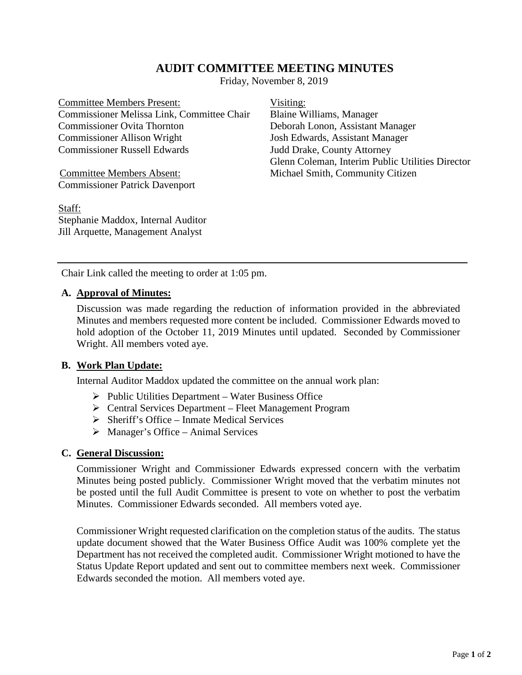# **AUDIT COMMITTEE MEETING MINUTES**

Friday, November 8, 2019

Committee Members Present: Visiting: Commissioner Melissa Link, Committee Chair Blaine Williams, Manager Commissioner Ovita Thornton Deborah Lonon, Assistant Manager Commissioner Allison Wright Josh Edwards, Assistant Manager Commissioner Russell Edwards Judd Drake, County Attorney

Commissioner Patrick Davenport

Staff: Stephanie Maddox, Internal Auditor Jill Arquette, Management Analyst

Glenn Coleman, Interim Public Utilities Director Committee Members Absent: Michael Smith, Community Citizen

Chair Link called the meeting to order at 1:05 pm.

### **A. Approval of Minutes:**

Discussion was made regarding the reduction of information provided in the abbreviated Minutes and members requested more content be included. Commissioner Edwards moved to hold adoption of the October 11, 2019 Minutes until updated. Seconded by Commissioner Wright. All members voted aye.

# **B. Work Plan Update:**

Internal Auditor Maddox updated the committee on the annual work plan:

- $\triangleright$  Public Utilities Department Water Business Office
- Central Services Department Fleet Management Program
- $\triangleright$  Sheriff's Office Inmate Medical Services
- $\triangleright$  Manager's Office Animal Services

#### **C. General Discussion:**

Commissioner Wright and Commissioner Edwards expressed concern with the verbatim Minutes being posted publicly. Commissioner Wright moved that the verbatim minutes not be posted until the full Audit Committee is present to vote on whether to post the verbatim Minutes. Commissioner Edwards seconded. All members voted aye.

Commissioner Wright requested clarification on the completion status of the audits. The status update document showed that the Water Business Office Audit was 100% complete yet the Department has not received the completed audit. Commissioner Wright motioned to have the Status Update Report updated and sent out to committee members next week. Commissioner Edwards seconded the motion. All members voted aye.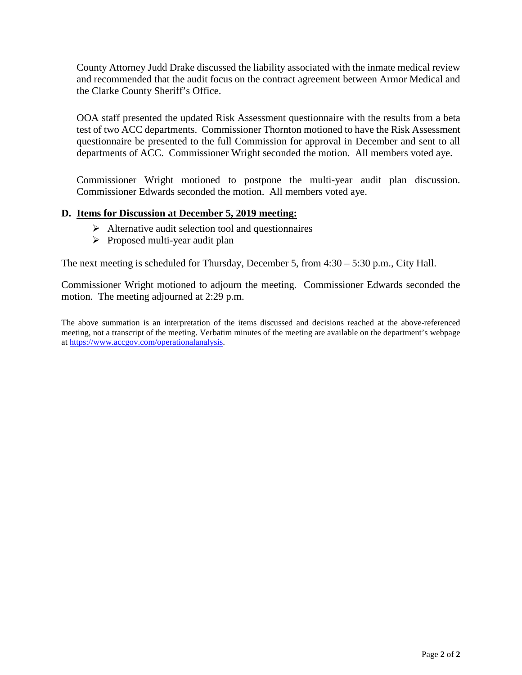County Attorney Judd Drake discussed the liability associated with the inmate medical review and recommended that the audit focus on the contract agreement between Armor Medical and the Clarke County Sheriff's Office.

OOA staff presented the updated Risk Assessment questionnaire with the results from a beta test of two ACC departments. Commissioner Thornton motioned to have the Risk Assessment questionnaire be presented to the full Commission for approval in December and sent to all departments of ACC. Commissioner Wright seconded the motion. All members voted aye.

Commissioner Wright motioned to postpone the multi-year audit plan discussion. Commissioner Edwards seconded the motion. All members voted aye.

# **D. Items for Discussion at December 5, 2019 meeting:**

- $\triangleright$  Alternative audit selection tool and questionnaires
- $\triangleright$  Proposed multi-year audit plan

The next meeting is scheduled for Thursday, December 5, from 4:30 – 5:30 p.m., City Hall.

Commissioner Wright motioned to adjourn the meeting. Commissioner Edwards seconded the motion. The meeting adjourned at 2:29 p.m.

The above summation is an interpretation of the items discussed and decisions reached at the above-referenced meeting, not a transcript of the meeting. Verbatim minutes of the meeting are available on the department's webpage a[t https://www.accgov.com/operationalanalysis.](https://www.accgov.com/operationalanalysis)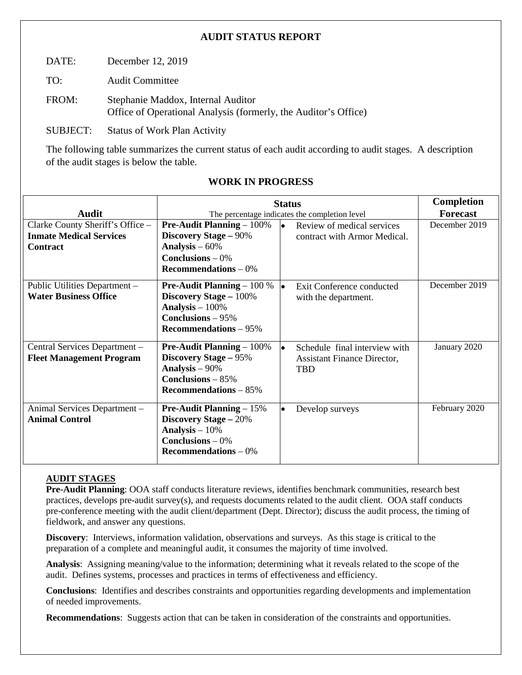# **AUDIT STATUS REPORT**

DATE: December 12, 2019

TO: Audit Committee

FROM: Stephanie Maddox, Internal Auditor Office of Operational Analysis (formerly, the Auditor's Office)

SUBJECT: Status of Work Plan Activity

The following table summarizes the current status of each audit according to audit stages. A description of the audit stages is below the table.

|                                                                    | <b>Status</b>                                                                                                                            |                                                                                   | <b>Completion</b> |
|--------------------------------------------------------------------|------------------------------------------------------------------------------------------------------------------------------------------|-----------------------------------------------------------------------------------|-------------------|
| Audit                                                              | The percentage indicates the completion level                                                                                            |                                                                                   | <b>Forecast</b>   |
| Clarke County Sheriff's Office -<br><b>Inmate Medical Services</b> | <b>Pre-Audit Planning – 100%</b><br><b>Discovery Stage - 90%</b>                                                                         | Review of medical services<br>lo i<br>contract with Armor Medical.                | December 2019     |
| <b>Contract</b>                                                    | Analysis $-60%$<br>Conclusions $-0\%$<br>$\bf Recommendations - 0\%$                                                                     |                                                                                   |                   |
| Public Utilities Department -<br><b>Water Business Office</b>      | <b>Pre-Audit Planning</b> $-100\%$<br><b>Discovery Stage - 100%</b><br>Analysis $-100\%$<br>Conclusions $-95%$<br>Recommendations $-95%$ | Exit Conference conducted<br>with the department.                                 | December 2019     |
| Central Services Department -<br><b>Fleet Management Program</b>   | <b>Pre-Audit Planning</b> $-100\%$<br><b>Discovery Stage – 95%</b><br>Analysis $-90\%$<br>Conclusions $-85%$<br>Recommendations $-85%$   | Schedule final interview with<br><b>Assistant Finance Director,</b><br><b>TBD</b> | January 2020      |
| Animal Services Department -<br><b>Animal Control</b>              | <b>Pre-Audit Planning</b> $-15%$<br><b>Discovery Stage - 20%</b><br>Analysis $-10%$<br>Conclusions $-0\%$<br>Recommendations $-0\%$      | Develop surveys                                                                   | February 2020     |

# **WORK IN PROGRESS**

# **AUDIT STAGES**

**Pre-Audit Planning**: OOA staff conducts literature reviews, identifies benchmark communities, research best practices, develops pre-audit survey(s), and requests documents related to the audit client. OOA staff conducts pre-conference meeting with the audit client/department (Dept. Director); discuss the audit process, the timing of fieldwork, and answer any questions.

**Discovery**: Interviews, information validation, observations and surveys. As this stage is critical to the preparation of a complete and meaningful audit, it consumes the majority of time involved.

**Analysis**: Assigning meaning/value to the information; determining what it reveals related to the scope of the audit. Defines systems, processes and practices in terms of effectiveness and efficiency.

**Conclusions**: Identifies and describes constraints and opportunities regarding developments and implementation of needed improvements.

**Recommendations**: Suggests action that can be taken in consideration of the constraints and opportunities.